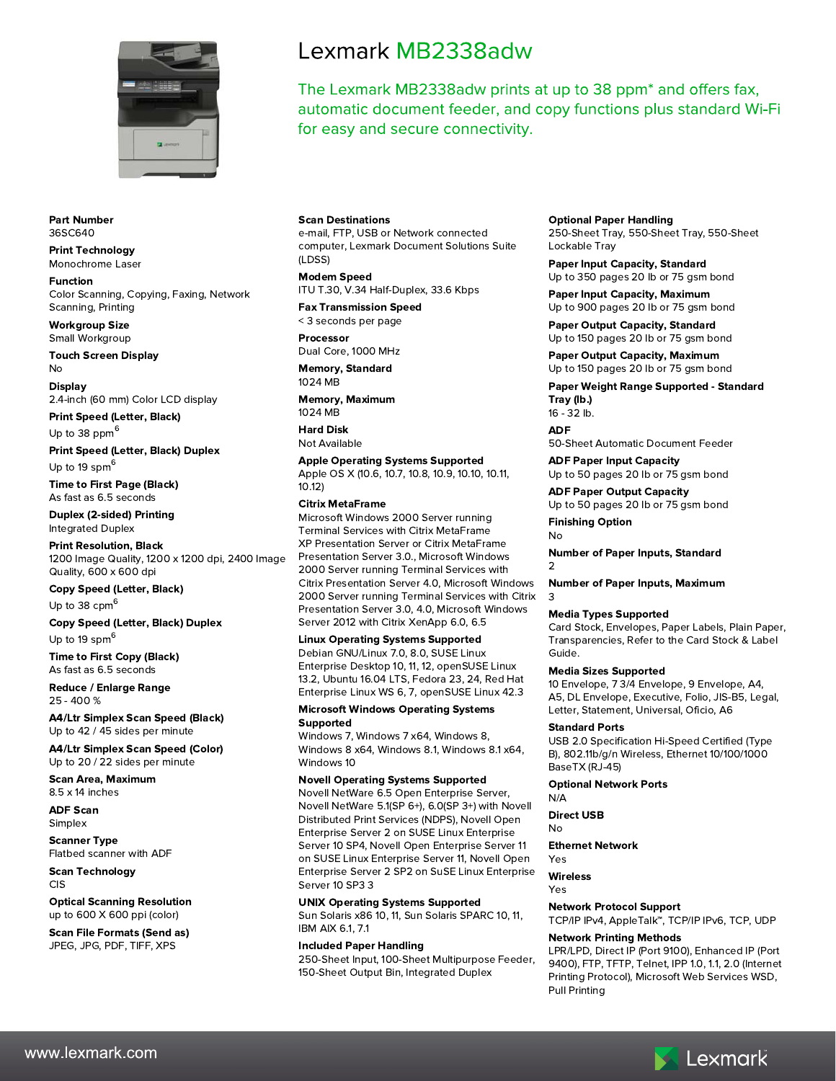

#### **Part Number** 36SC640

#### **Print Technology** Monochrome Laser

**Function** Color Scanning, Copying, Faxing, Network Scanning, Printing

**Workgroup Size** Small Workgroup

**Touch Screen Display** No

**Display** 2.4-inch (60 mm) Color LCD display

**Print Speed (Letter, Black)** Up to 38 ppm $<sup>6</sup>$ </sup>

**Print Speed (Letter, Black) Duplex** Up to 19 spm<sup>6</sup>

**Time to First Page (Black)** As fast as 6.5 seconds

**Duplex (2-sided) Printing Integrated Duplex** 

**Print Resolution, Black** 1200 Image Quality, 1200 x 1200 dpi, 2400 Image Quality, 600 x 600 dpi

**Copy Speed (Letter, Black)** Up to 38  $cpm<sup>6</sup>$ 

**Copy Speed (Letter, Black) Duplex** Up to 19 spm<sup>6</sup>

**Time to First Copy (Black)** As fast as 6.5 seconds

Reduce / Enlarge Range 25 - 400 %

**A4/Ltr Simplex Scan Speed (Black)** Up to 42 / 45 sides per minute

**A4/Ltr Simplex Scan Speed (Color)** Up to 20 / 22 sides per minute

**Scan Area, Maximum**  $8.5 \times 14$  inches

**ADF Scan** Simplex

**Scanner Type** Flatbed scanner with ADF

**Scan Technology** CIS

**Optical Scanning Resolution** up to 600 X 600 ppi (color)

**Scan File Formats (Send as)** JPEG, JPG, PDF, TIFF, XPS

# Lexmark MB2338adw

The Lexmark MB2338adw prints at up to 38 ppm\* and offers fax, automatic document feeder, and copy functions plus standard Wi-Fi for easy and secure connectivity.

# **Scan Destinations**

e-mail, FTP, USB or Network connected computer, Lexmark Document Solutions Suite  $(1)$  DSS)

**Modem Speed** ITU T.30, V.34 Half-Duplex, 33.6 Kbps

**Fax Transmission Speed** < 3 seconds per page

# Processor

Dual Core, 1000 MHz **Memory, Standard** 

1024 MB **Memory, Maximum** 

1024 MB

**Hard Disk** Not Available

**Apple Operating Systems Supported** Apple OS X (10.6, 10.7, 10.8, 10.9, 10.10, 10.11,  $10.12$ 

# **Citrix MetaFrame**

Microsoft Windows 2000 Server running **Terminal Services with Citrix MetaFrame** XP Presentation Server or Citrix MetaFrame Presentation Server 3.0., Microsoft Windows 2000 Server running Terminal Services with Citrix Presentation Server 4.0, Microsoft Windows 2000 Server running Terminal Services with Citrix Presentation Server 3.0, 4.0, Microsoft Windows Server 2012 with Citrix XenApp 6.0, 6.5

# **Linux Operating Systems Supported**

Debian GNU/Linux 7.0, 8.0, SUSE Linux Enterprise Desktop 10, 11, 12, openSUSE Linux 13.2, Ubuntu 16.04 LTS, Fedora 23, 24, Red Hat Enterprise Linux WS 6, 7, openSUSE Linux 42.3

#### **Microsoft Windows Operating Systems** Supported

Windows 7, Windows 7 x64, Windows 8, Windows 8 x64, Windows 8.1, Windows 8.1 x64, Windows 10

# **Novell Operating Systems Supported**

Novell NetWare 6.5 Open Enterprise Server, Novell NetWare 5.1(SP 6+), 6.0(SP 3+) with Novell Distributed Print Services (NDPS), Novell Open Enterprise Server 2 on SUSE Linux Enterprise Server 10 SP4, Novell Open Enterprise Server 11 on SUSE Linux Enterprise Server 11, Novell Open Enterprise Server 2 SP2 on SuSE Linux Enterprise Server 10 SP3 3

# **UNIX Operating Systems Supported**

Sun Solaris x86 10, 11, Sun Solaris SPARC 10, 11, **IBM AIX 6.1, 7.1** 

#### **Included Paper Handling** 250-Sheet Input, 100-Sheet Multipurpose Feeder, 150-Sheet Output Bin, Integrated Duplex

**Optional Paper Handling** 

250-Sheet Tray, 550-Sheet Tray, 550-Sheet Lockable Tray

**Paper Input Capacity, Standard** 

Up to 350 pages 20 lb or 75 gsm bond **Paper Input Capacity, Maximum** 

Up to 900 pages 20 lb or 75 gsm bond **Paper Output Capacity, Standard** Up to 150 pages 20 lb or 75 gsm bond

**Paper Output Capacity, Maximum** Up to 150 pages 20 lb or 75 gsm bond

Paper Weight Range Supported - Standard Tray (lb.)

16 - 32 lb.

**ADF** 

50-Sheet Automatic Document Feeder

**ADF Paper Input Capacity** Up to 50 pages 20 lb or 75 gsm bond

# **ADF Paper Output Capacity**

Up to 50 pages 20 lb or 75 gsm bond **Finishing Option** 

No

3

**Number of Paper Inputs, Standard**  $\overline{2}$ 

**Number of Paper Inputs, Maximum** 

# **Media Types Supported**

Card Stock, Envelopes, Paper Labels, Plain Paper, Transparencies, Refer to the Card Stock & Label Guide.

# **Media Sizes Supported**

10 Envelope, 7 3/4 Envelope, 9 Envelope, A4, A5, DL Envelope, Executive, Folio, JIS-B5, Legal, Letter, Statement, Universal, Oficio, A6

# **Standard Ports**

USB 2.0 Specification Hi-Speed Certified (Type B), 802.11b/g/n Wireless, Ethernet 10/100/1000 BaseTX (RJ-45)

# **Optional Network Ports**

 $N/A$ 

**Direct USB** No

**Ethernet Network** 

Yes **Wireless** 

Yes

**Network Protocol Support** 

# TCP/IP IPv4, AppleTalk<sup>™</sup>, TCP/IP IPv6, TCP, UDP

# **Network Printing Methods**

LPR/LPD, Direct IP (Port 9100), Enhanced IP (Port 9400), FTP, TFTP, Telnet, IPP 1.0, 1.1, 2.0 (Internet Printing Protocol), Microsoft Web Services WSD, **Pull Printing** 

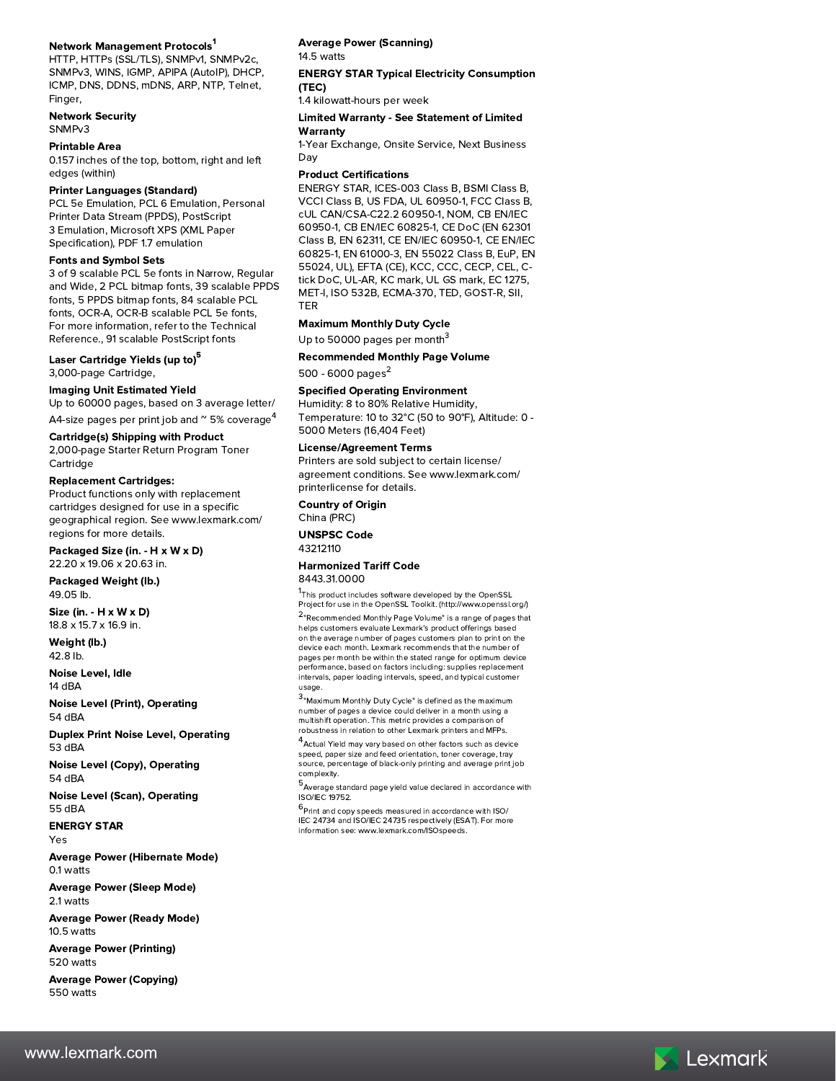#### Network Management Protocols<sup>1</sup>

HTTP, HTTPs (SSL/TLS), SNMPv1, SNMPv2c, SNMPv3, WINS, IGMP, APIPA (AutoIP), DHCP, ICMP, DNS, DDNS, mDNS, ARP, NTP, Telnet, Finger.

### **Network Security**

SNMP<sub>v3</sub>

#### **Printable Area**

0.157 inches of the top, bottom, right and left edges (within)

#### **Printer Languages (Standard)**

PCL 5e Emulation, PCL 6 Emulation, Personal Printer Data Stream (PPDS), PostScript 3 Emulation, Microsoft XPS (XML Paper Specification), PDF 1.7 emulation

### **Fonts and Symbol Sets**

3 of 9 scalable PCL 5e fonts in Narrow, Regular and Wide, 2 PCL bitmap fonts, 39 scalable PPDS fonts, 5 PPDS bitmap fonts, 84 scalable PCL fonts, OCR-A, OCR-B scalable PCL 5e fonts, For more information, refer to the Technical Reference., 91 scalable PostScript fonts

#### Laser Cartridge Yields (up to)<sup>5</sup> 3,000-page Cartridge,

# **Imaging Unit Estimated Yield**

Up to 60000 pages, based on 3 average letter/ A4-size pages per print job and  $\degree$  5% coverage<sup>4</sup>

#### **Cartridge(s) Shipping with Product**

2,000-page Starter Return Program Toner Cartridge

#### **Replacement Cartridges:**

Product functions only with replacement cartridges designed for use in a specific geographical region. See www.lexmark.com/ regions for more details.

#### Packaged Size (in. - H x W x D) 22.20 x 19.06 x 20.63 in.

Packaged Weight (lb.) 49.05 lb.

Size (in. - H x W x D) 18.8 x 15.7 x 16.9 in.

# Weight (lb.)

42.8 lb. Noise Level, Idle

14 dBA

**Noise Level (Print), Operating** 54 dBA

**Duplex Print Noise Level, Operating** 53 dBA

Noise Level (Copy), Operating 54 dBA

**Noise Level (Scan), Operating** 55 dBA

**ENERGY STAR** Yes

**Average Power (Hibernate Mode)** 0.1 watts

**Average Power (Sleep Mode)** 2.1 watts

**Average Power (Ready Mode)** 10.5 watts

**Average Power (Printing)** 520 watts

**Average Power (Copying)** 550 watts

# **Average Power (Scanning)**

14.5 watts

#### **ENERGY STAR Typical Electricity Consumption** (TEC)

1.4 kilowatt-hours per week

# **Limited Warranty - See Statement of Limited**

Warranty

1-Year Exchange, Onsite Service, Next Business Day

#### **Product Certifications**

ENERGY STAR, ICES-003 Class B, BSMI Class B, VCCI Class B, US FDA, UL 60950-1, FCC Class B, cUL CAN/CSA-C22.2 60950-1, NOM, CB EN/IEC 60950-1, CB EN/IEC 60825-1, CE DoC (EN 62301 Class B, EN 62311, CE EN/IEC 60950-1, CE EN/IEC 60825-1, EN 61000-3, EN 55022 Class B, EuP, EN 55024, UL), EFTA (CE), KCC, CCC, CECP, CEL, Ctick DoC, UL-AR, KC mark, UL GS mark, EC 1275, MET-I, ISO 532B, ECMA-370, TED, GOST-R, SII, **TER** 

# **Maximum Monthly Duty Cycle**

Up to 50000 pages per month<sup>3</sup>

#### **Recommended Monthly Page Volume**

500 - 6000 pages<sup>2</sup>

# **Specified Operating Environment**

Humidity: 8 to 80% Relative Humidity, Temperature: 10 to 32°C (50 to 90°F), Altitude: 0 -5000 Meters (16,404 Feet)

### **License/Agreement Terms**

Printers are sold subject to certain license/ agreement conditions. See www.lexmark.com/ printerlicense for details.

**Country of Origin** China (PRC)

# **UNSPSC Code**

43212110

#### **Harmonized Tariff Code** 8443.31.0000

<sup>1</sup>This product includes software developed by the OpenSSL Project for use in the OpenSSL Toolkit. (http://www.openssl.org/)

<sup>2</sup>"Recommended Monthly Page Volume" is a range of pages that helps customers evaluate Lexmark's product offerings based on the average number of pages customers plan to print on the device each month. Lexmark recommends that the number of pages per month be within the stated range for optimum device pages per month se while the stated range for optimal device intervals, paper loading intervals, speed, and typical customer usage.

 $3$  Maximum Monthly Duty Cycle" is defined as the maximum number of pages a device could deliver in a month using a multishift operation. This metric provides a comparison of robustness in relation to other Lexmark printers and MFPs.

<sup>4</sup>Actual Yield may vary based on other factors such as device speed, paper size and feed orientation, toner coverage, tray source, percentage of black-only printing and average print job complexity.

 $5$  Average standard page yield value declared in accordance with ISO/IEC 19752.

 $6$ Print and copy speeds measured in accordance with ISO/ IEC 24734 and ISO/IEC 24735 respectively (ESAT). For more information see: www.lexmark.com/ISOspeeds.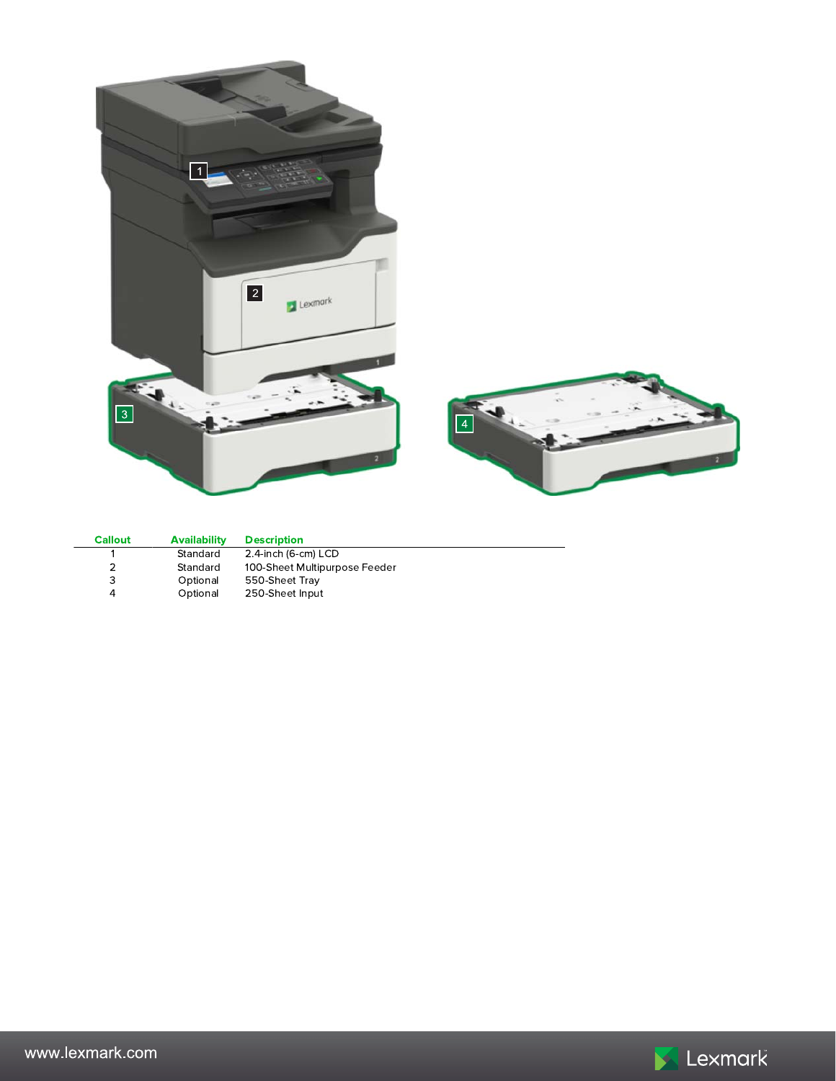

| <b>Callout</b> | <b>Availability</b> | <b>Description</b>            |
|----------------|---------------------|-------------------------------|
|                | Standard            | 2.4-inch (6-cm) LCD           |
|                | Standard            | 100-Sheet Multipurpose Feeder |
| 3              | Optional            | 550-Sheet Tray                |
|                | Optional            | 250-Sheet Input               |